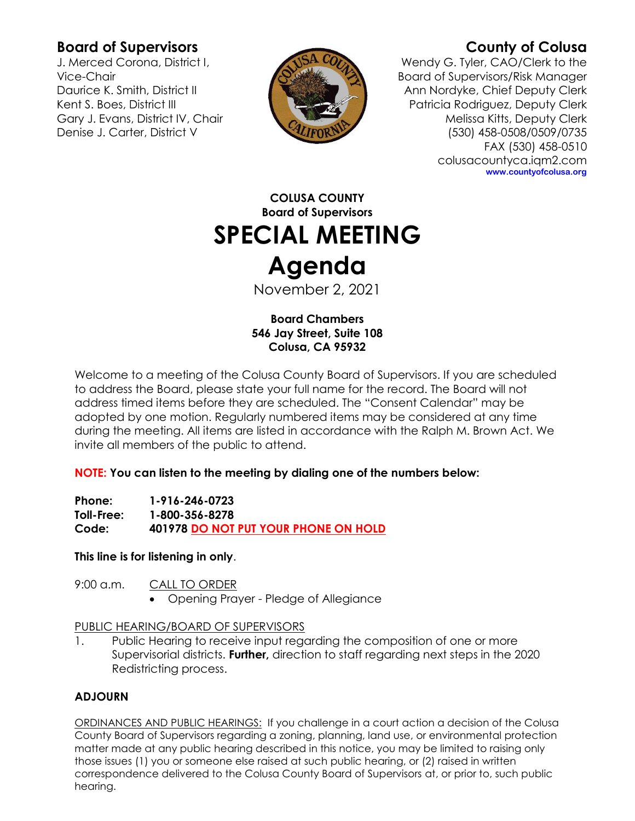# **Board of Supervisors**

J. Merced Corona, District I, Vice-Chair Daurice K. Smith, District II Kent S. Boes, District III Gary J. Evans, District IV, Chair Denise J. Carter, District V



# **County of Colusa**

Wendy G. Tyler, CAO/Clerk to the Board of Supervisors/Risk Manager Ann Nordyke, Chief Deputy Clerk Patricia Rodriguez, Deputy Clerk Melissa Kitts, Deputy Clerk (530) 458-0508/0509/0735 FAX (530) 458-0510 colusacountyca.iqm2.com **www.countyofcolusa.org**

**COLUSA COUNTY Board of Supervisors SPECIAL MEETING Agenda**

November 2, 2021

**Board Chambers 546 Jay Street, Suite 108 Colusa, CA 95932**

Welcome to a meeting of the Colusa County Board of Supervisors. If you are scheduled to address the Board, please state your full name for the record. The Board will not address timed items before they are scheduled. The "Consent Calendar" may be adopted by one motion. Regularly numbered items may be considered at any time during the meeting. All items are listed in accordance with the Ralph M. Brown Act. We invite all members of the public to attend.

**NOTE: You can listen to the meeting by dialing one of the numbers below:**

**Phone: 1-916-246-0723 Toll-Free: 1-800-356-8278 Code: 401978 DO NOT PUT YOUR PHONE ON HOLD**

**This line is for listening in only**.

9:00 a.m. CALL TO ORDER

• Opening Prayer - Pledge of Allegiance

### PUBLIC HEARING/BOARD OF SUPERVISORS

1. Public Hearing to receive input regarding the composition of one or more Supervisorial districts. **Further,** direction to staff regarding next steps in the 2020 Redistricting process.

## **ADJOURN**

ORDINANCES AND PUBLIC HEARINGS: If you challenge in a court action a decision of the Colusa County Board of Supervisors regarding a zoning, planning, land use, or environmental protection matter made at any public hearing described in this notice, you may be limited to raising only those issues (1) you or someone else raised at such public hearing, or (2) raised in written correspondence delivered to the Colusa County Board of Supervisors at, or prior to, such public hearing.